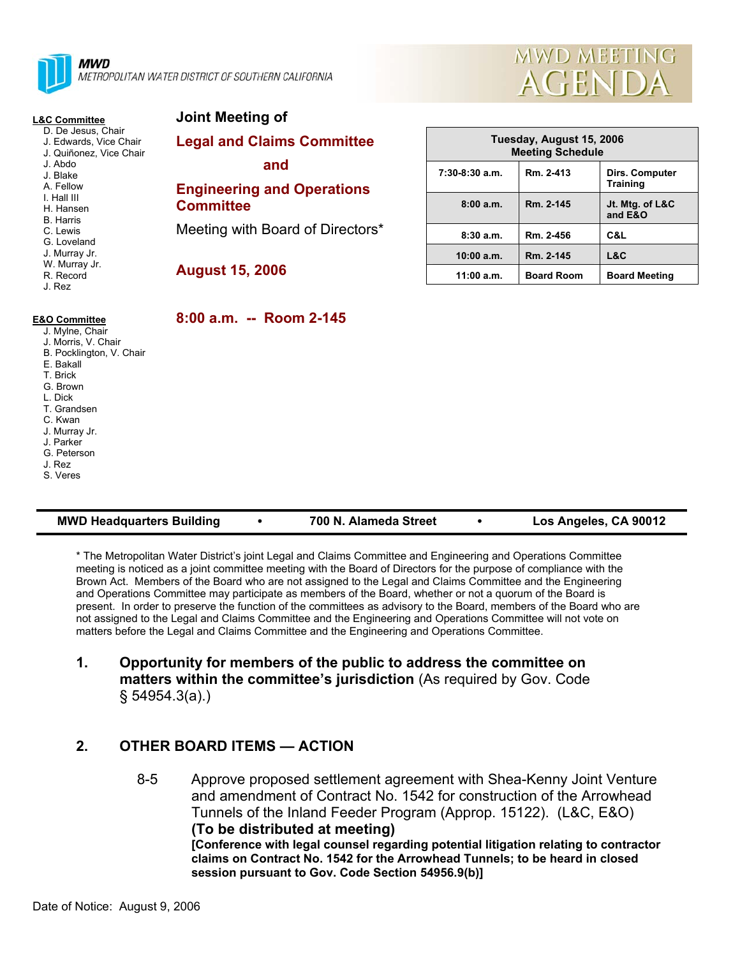

METROPOLITAN WATER DISTRICT OF SOUTHERN CALIFORNIA



| <b>L&amp;C Committee</b>                                                                                                                                                                                                                        | Joint Meeting of                                                                                                                      |                                                     |                   |                                   |
|-------------------------------------------------------------------------------------------------------------------------------------------------------------------------------------------------------------------------------------------------|---------------------------------------------------------------------------------------------------------------------------------------|-----------------------------------------------------|-------------------|-----------------------------------|
| D. De Jesus, Chair<br>J. Edwards, Vice Chair<br>J. Quiñonez, Vice Chair<br>J. Abdo<br>J. Blake<br>A. Fellow<br>I. Hall III<br>H. Hansen<br><b>B.</b> Harris<br>C. Lewis<br>G. Loveland<br>J. Murray Jr.<br>W. Murray Jr.<br>R. Record<br>J. Rez | <b>Legal and Claims Committee</b><br>and<br><b>Engineering and Operations</b><br><b>Committee</b><br>Meeting with Board of Directors* | Tuesday, August 15, 2006<br><b>Meeting Schedule</b> |                   |                                   |
|                                                                                                                                                                                                                                                 |                                                                                                                                       | $7:30-8:30$ a.m.                                    | Rm. 2-413         | Dirs. Computer<br><b>Training</b> |
|                                                                                                                                                                                                                                                 |                                                                                                                                       | 8:00a.m.                                            | Rm. 2-145         | Jt. Mtg. of L&C<br>and E&O        |
|                                                                                                                                                                                                                                                 |                                                                                                                                       | 8:30a.m.                                            | Rm. 2-456         | C&L                               |
|                                                                                                                                                                                                                                                 | <b>August 15, 2006</b>                                                                                                                | 10:00 a.m.                                          | Rm. 2-145         | L&C                               |
|                                                                                                                                                                                                                                                 |                                                                                                                                       | 11:00 a.m.                                          | <b>Board Room</b> | <b>Board Meeting</b>              |
| <b>E&amp;O Committee</b><br>J. Mylne, Chair<br>J. Morris, V. Chair<br>B. Pocklington, V. Chair<br>E. Bakall<br>T. Brick<br>G. Brown<br>L. Dick<br>T. Grandsen<br>C. Kwan<br>J. Murray Jr.<br>J. Parker<br>G. Peterson<br>J. Rez<br>S. Veres     | 8:00 a.m. -- Room 2-145                                                                                                               |                                                     |                   |                                   |

| <b>MWD Headquarters Building</b><br>700 N. Alameda Street | Los Angeles, CA 90012 |
|-----------------------------------------------------------|-----------------------|
|-----------------------------------------------------------|-----------------------|

\* The Metropolitan Water District's joint Legal and Claims Committee and Engineering and Operations Committee meeting is noticed as a joint committee meeting with the Board of Directors for the purpose of compliance with the Brown Act. Members of the Board who are not assigned to the Legal and Claims Committee and the Engineering and Operations Committee may participate as members of the Board, whether or not a quorum of the Board is present. In order to preserve the function of the committees as advisory to the Board, members of the Board who are not assigned to the Legal and Claims Committee and the Engineering and Operations Committee will not vote on matters before the Legal and Claims Committee and the Engineering and Operations Committee.

## **1. Opportunity for members of the public to address the committee on matters within the committee's jurisdiction** (As required by Gov. Code § 54954.3(a).)

## **2. OTHER BOARD ITEMS — ACTION**

8-5 Approve proposed settlement agreement with Shea-Kenny Joint Venture and amendment of Contract No. 1542 for construction of the Arrowhead Tunnels of the Inland Feeder Program (Approp. 15122). (L&C, E&O) **(To be distributed at meeting) [Conference with legal counsel regarding potential litigation relating to contractor claims on Contract No. 1542 for the Arrowhead Tunnels; to be heard in closed session pursuant to Gov. Code Section 54956.9(b)]**